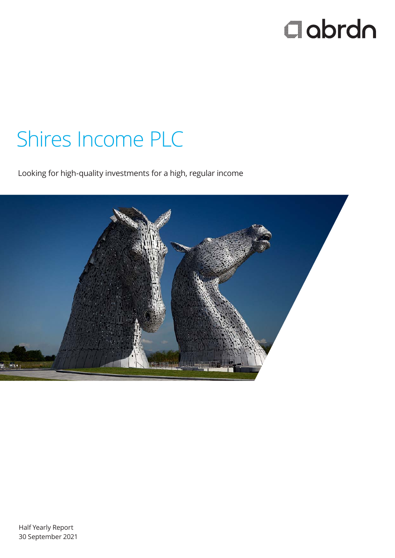# $\Box$ abrdn

# Shires Income PLC

Looking for high-quality investments for a high, regular income

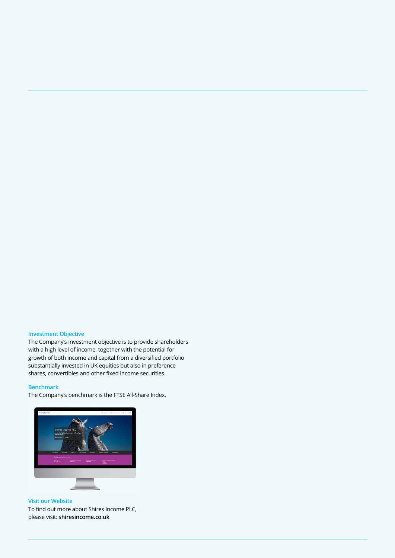### **Investment Objective**

The Company's investment objective is to provide shareholders with a high level of income, together with the potential for growth of both income and capital from a diversified portfolio substantially invested in UK equities but also in preference shares, convertibles and other fixed income securities.

### **Benchmark**

The Company's benchmark is the FTSE All-Share Index.



**Visit our Website** 

To find out more about Shires Income PLC, please visit: **shiresincome.co.uk**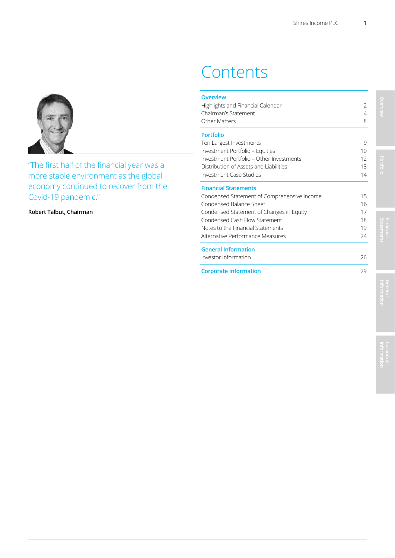### **Contents**

| Overview<br>Highlights and Financial Calendar<br>Chairman's Statement<br>Other Matters | $\overline{2}$<br>4<br>8 |
|----------------------------------------------------------------------------------------|--------------------------|
| <b>Portfolio</b>                                                                       |                          |
| Ten Largest Investments                                                                | 9                        |
| Investment Portfolio - Equities                                                        | 10                       |
| Investment Portfolio - Other Investments                                               | 12                       |
| Distribution of Assets and Liabilities                                                 | 13                       |
| Investment Case Studies                                                                | 14                       |
| <b>Financial Statements</b>                                                            |                          |
| Condensed Statement of Comprehensive Income                                            | 15                       |
| Condensed Balance Sheet                                                                | 16                       |
| Condensed Statement of Changes in Equity                                               | 17                       |
| Condensed Cash Flow Statement                                                          | 18                       |
| Notes to the Financial Statements                                                      | 19                       |
| Alternative Performance Measures                                                       | 24                       |
| <b>General Information</b>                                                             |                          |
| Investor Information                                                                   | 26                       |
|                                                                                        |                          |

### **Corporate Information** 29

"The first half of the financial year was a more stable environment as the global economy continued to recover from the Covid-19 pandemic."

**Robert Talbut, Chairman** 

**Overview Portfolio Statements**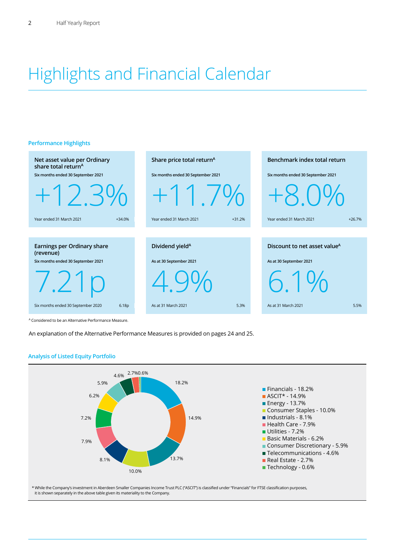## Highlights and Financial Calendar

### **Performance Highlights**



A Considered to be an Alternative Performance Measure.

An explanation of the Alternative Performance Measures is provided on pages 24 and 25.



**Analysis of Listed Equity Portfolio** 

\* While the Company's investment in Aberdeen Smaller Companies Income Trust PLC ("ASCIT") is classified under "Financials" for FTSE classification purposes, it is shown separately in the above table given its materiality to the Company.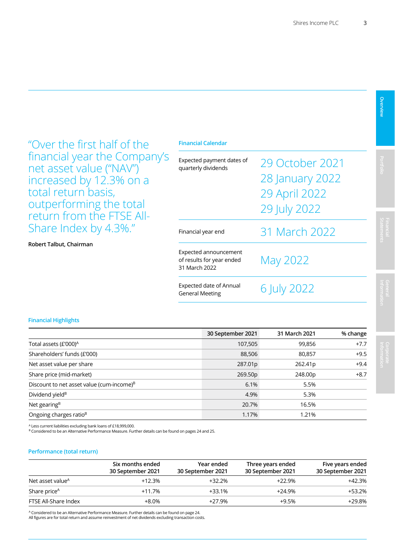"Over the first half of the financial year the Company's net asset value ("NAV") increased by 12.3% on a total return basis, outperforming the total return from the FTSE All-Share Index by 4.3%."

### **Robert Talbut, Chairman**

| Expected payment dates of<br>quarterly dividends                    | 29 October 2021<br>28 January 2022<br>29 April 2022<br>29 July 2022 |
|---------------------------------------------------------------------|---------------------------------------------------------------------|
| Financial year end                                                  | 31 March 2022                                                       |
| Expected announcement<br>of results for year ended<br>31 March 2022 | May 2022                                                            |
| <b>Expected date of Annual</b><br><b>General Meeting</b>            | 6 July 2022                                                         |

### **Financial Highlights**

|                                                       | 30 September 2021 | 31 March 2021 | % change |
|-------------------------------------------------------|-------------------|---------------|----------|
| Total assets (£'000) <sup>A</sup>                     | 107,505           | 99,856        | $+7.7$   |
| Shareholders' funds (£'000)                           | 88,506            | 80,857        | $+9.5$   |
| Net asset value per share                             | 287.01p           | 262.41p       | $+9.4$   |
| Share price (mid-market)                              | 269.50p           | 248.00p       | $+8.7$   |
| Discount to net asset value (cum-income) <sup>B</sup> | 6.1%              | 5.5%          |          |
| Dividend yield <sup>B</sup>                           | 4.9%              | 5.3%          |          |
| Net gearing <sup>B</sup>                              | 20.7%             | 16.5%         |          |
| Ongoing charges ratio <sup>B</sup>                    | 1.17%             | 1.21%         |          |

A Less current liabilities excluding bank loans of £18,999,000.

B Considered to be an Alternative Performance Measure. Further details can be found on pages 24 and 25.

### **Performance (total return)**

|                              | Six months ended<br>30 September 2021 | Year ended<br>30 September 2021 | Three years ended<br>30 September 2021 | Five years ended<br>30 September 2021 |
|------------------------------|---------------------------------------|---------------------------------|----------------------------------------|---------------------------------------|
| Net asset value <sup>A</sup> | +12.3%                                | +32.2%                          | +22.9%                                 | $+42.3%$                              |
| Share price <sup>A</sup>     | $+11.7%$                              | $+33.1%$                        | $+24.9%$                               | +53.2%                                |
| FTSE All-Share Index         | $+8.0\%$                              | +27.9%                          | $+9.5%$                                | +29.8%                                |

A Considered to be an Alternative Performance Measure. Further details can be found on page 24. All figures are for total return and assume reinvestment of net dividends excluding transaction costs.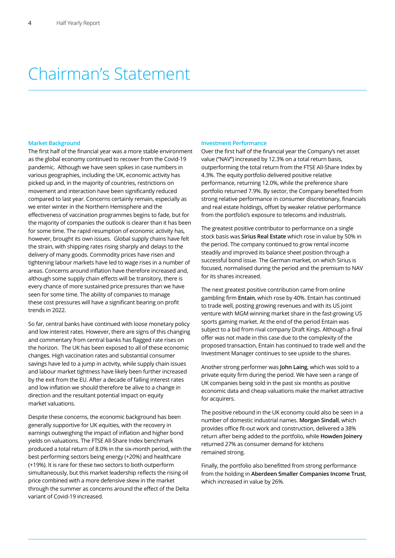### Chairman's Statement

### **Market Background**

The first half of the financial year was a more stable environment as the global economy continued to recover from the Covid-19 pandemic. Although we have seen spikes in case numbers in various geographies, including the UK, economic activity has picked up and, in the majority of countries, restrictions on movement and interaction have been significantly reduced compared to last year. Concerns certainly remain, especially as we enter winter in the Northern Hemisphere and the effectiveness of vaccination programmes begins to fade, but for the majority of companies the outlook is clearer than it has been for some time. The rapid resumption of economic activity has, however, brought its own issues. Global supply chains have felt the strain, with shipping rates rising sharply and delays to the delivery of many goods. Commodity prices have risen and tightening labour markets have led to wage rises in a number of areas. Concerns around inflation have therefore increased and, although some supply chain effects will be transitory, there is every chance of more sustained price pressures than we have seen for some time. The ability of companies to manage these cost pressures will have a significant bearing on profit trends in 2022.

So far, central banks have continued with loose monetary policy and low interest rates. However, there are signs of this changing and commentary from central banks has flagged rate rises on the horizon. The UK has been exposed to all of these economic changes. High vaccination rates and substantial consumer savings have led to a jump in activity, while supply chain issues and labour market tightness have likely been further increased by the exit from the EU. After a decade of falling interest rates and low inflation we should therefore be alive to a change in direction and the resultant potential impact on equity market valuations.

Despite these concerns, the economic background has been generally supportive for UK equities, with the recovery in earnings outweighing the impact of inflation and higher bond yields on valuations. The FTSE All-Share Index benchmark produced a total return of 8.0% in the six-month period, with the best performing sectors being energy (+20%) and healthcare (+19%). It is rare for these two sectors to both outperform simultaneously, but this market leadership reflects the rising oil price combined with a more defensive skew in the market through the summer as concerns around the effect of the Delta variant of Covid-19 increased.

#### **Investment Performance**

Over the first half of the financial year the Company's net asset value ("NAV") increased by 12.3% on a total return basis, outperforming the total return from the FTSE All-Share Index by 4.3%. The equity portfolio delivered positive relative performance, returning 12.0%, while the preference share portfolio returned 7.9%. By sector, the Company benefited from strong relative performance in consumer discretionary, financials and real estate holdings, offset by weaker relative performance from the portfolio's exposure to telecoms and industrials.

The greatest positive contributor to performance on a single stock basis was **Sirius Real Estate** which rose in value by 50% in the period. The company continued to grow rental income steadily and improved its balance sheet position through a successful bond issue. The German market, on which Sirius is focused, normalised during the period and the premium to NAV for its shares increased.

The next greatest positive contribution came from online gambling firm **Entain**, which rose by 40%. Entain has continued to trade well, posting growing revenues and with its US joint venture with MGM winning market share in the fast-growing US sports gaming market. At the end of the period Entain was subject to a bid from rival company Draft Kings. Although a final offer was not made in this case due to the complexity of the proposed transaction, Entain has continued to trade well and the Investment Manager continues to see upside to the shares.

Another strong performer was **John Laing**, which was sold to a private equity firm during the period. We have seen a range of UK companies being sold in the past six months as positive economic data and cheap valuations make the market attractive for acquirers.

The positive rebound in the UK economy could also be seen in a number of domestic industrial names. **Morgan Sindall**, which provides office fit-out work and construction, delivered a 38% return after being added to the portfolio, while **Howden Joinery** returned 27% as consumer demand for kitchens remained strong.

Finally, the portfolio also benefitted from strong performance from the holding in **Aberdeen Smaller Companies Income Trust**, which increased in value by 26%.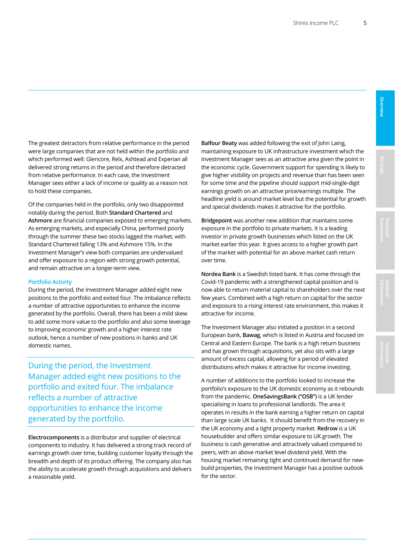The greatest detractors from relative performance in the period were large companies that are not held within the portfolio and which performed well: Glencore, Relx, Ashtead and Experian all delivered strong returns in the period and therefore detracted from relative performance. In each case, the Investment Manager sees either a lack of income or quality as a reason not to hold these companies.

Of the companies held in the portfolio, only two disappointed notably during the period. Both **Standard Chartered** and **Ashmore** are financial companies exposed to emerging markets. As emerging markets, and especially China, performed poorly through the summer these two stocks lagged the market, with Standard Chartered falling 13% and Ashmore 15%. In the Investment Manager's view both companies are undervalued and offer exposure to a region with strong growth potential, and remain attractive on a longer-term view.

### **Portfolio Activity**

During the period, the Investment Manager added eight new positions to the portfolio and exited four. The imbalance reflects a number of attractive opportunities to enhance the income generated by the portfolio. Overall, there has been a mild skew to add some more value to the portfolio and also some leverage to improving economic growth and a higher interest rate outlook, hence a number of new positions in banks and UK domestic names.

During the period, the Investment Manager added eight new positions to the portfolio and exited four. The imbalance reflects a number of attractive opportunities to enhance the income generated by the portfolio.

**Electrocomponents** is a distributor and supplier of electrical components to industry. It has delivered a strong track record of earnings growth over time, building customer loyalty through the breadth and depth of its product offering. The company also has the ability to accelerate growth through acquisitions and delivers a reasonable yield.

**Balfour Beaty** was added following the exit of John Laing, maintaining exposure to UK infrastructure investment which the Investment Manager sees as an attractive area given the point in the economic cycle. Government support for spending is likely to give higher visibility on projects and revenue than has been seen for some time and the pipeline should support mid-single-digit earnings growth on an attractive price/earnings multiple. The headline yield is around market level but the potential for growth and special dividends makes it attractive for the portfolio.

**Bridgepoint** was another new addition that maintains some exposure in the portfolio to private markets. It is a leading investor in private growth businesses which listed on the UK market earlier this year. It gives access to a higher growth part of the market with potential for an above market cash return over time.

**Nordea Bank** is a Swedish listed bank. It has come through the Covid-19 pandemic with a strengthened capital position and is now able to return material capital to shareholders over the next few years. Combined with a high return on capital for the sector and exposure to a rising interest rate environment, this makes it attractive for income.

The Investment Manager also initiated a position in a second European bank, **Bawag**, which is listed in Austria and focused on Central and Eastern Europe. The bank is a high return business and has grown through acquisitions, yet also sits with a large amount of excess capital, allowing for a period of elevated distributions which makes it attractive for income investing.

A number of additions to the portfolio looked to increase the portfolio's exposure to the UK domestic economy as it rebounds from the pandemic. **OneSavingsBank ("OSB")** is a UK lender specialising in loans to professional landlords. The area it operates in results in the bank earning a higher return on capital than large scale UK banks. It should benefit from the recovery in the UK economy and a tight property market. **Redrow** is a UK housebuilder and offers similar exposure to UK growth. The business is cash generative and attractively valued compared to peers, with an above market level dividend yield. With the housing market remaining tight and continued demand for newbuild properties, the Investment Manager has a positive outlook for the sector.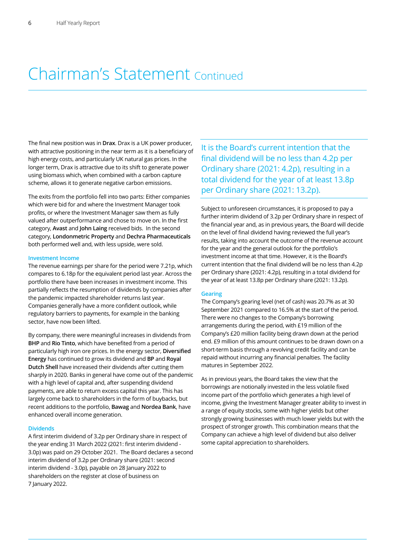### Chairman's Statement Continued

The final new position was in **Drax**. Drax is a UK power producer, with attractive positioning in the near term as it is a beneficiary of high energy costs, and particularly UK natural gas prices. In the longer term, Drax is attractive due to its shift to generate power using biomass which, when combined with a carbon capture scheme, allows it to generate negative carbon emissions.

The exits from the portfolio fell into two parts: Either companies which were bid for and where the Investment Manager took profits, or where the Investment Manager saw them as fully valued after outperformance and chose to move on. In the first category, **Avast** and **John Laing** received bids. In the second category, **Londonmetric Property** and **Dechra Pharmaceuticals** both performed well and, with less upside, were sold.

### **Investment Income**

The revenue earnings per share for the period were 7.21p, which compares to 6.18p for the equivalent period last year. Across the portfolio there have been increases in investment income. This partially reflects the resumption of dividends by companies after the pandemic impacted shareholder returns last year. Companies generally have a more confident outlook, while regulatory barriers to payments, for example in the banking sector, have now been lifted.

By company, there were meaningful increases in dividends from **BHP** and **Rio Tinto**, which have benefited from a period of particularly high iron ore prices. In the energy sector, **Diversified Energy** has continued to grow its dividend and **BP** and **Royal Dutch Shell** have increased their dividends after cutting them sharply in 2020. Banks in general have come out of the pandemic with a high level of capital and, after suspending dividend payments, are able to return excess capital this year. This has largely come back to shareholders in the form of buybacks, but recent additions to the portfolio, **Bawag** and **Nordea Bank**, have enhanced overall income generation.

### **Dividends**

A first interim dividend of 3.2p per Ordinary share in respect of the year ending 31 March 2022 (2021: first interim dividend - 3.0p) was paid on 29 October 2021. The Board declares a second interim dividend of 3.2p per Ordinary share (2021: second interim dividend - 3.0p), payable on 28 January 2022 to shareholders on the register at close of business on 7 January 2022.

It is the Board's current intention that the final dividend will be no less than 4.2p per Ordinary share (2021: 4.2p), resulting in a total dividend for the year of at least 13.8p per Ordinary share (2021: 13.2p).

Subject to unforeseen circumstances, it is proposed to pay a further interim dividend of 3.2p per Ordinary share in respect of the financial year and, as in previous years, the Board will decide on the level of final dividend having reviewed the full year's results, taking into account the outcome of the revenue account for the year and the general outlook for the portfolio's investment income at that time. However, it is the Board's current intention that the final dividend will be no less than 4.2p per Ordinary share (2021: 4.2p), resulting in a total dividend for the year of at least 13.8p per Ordinary share (2021: 13.2p).

### **Gearing**

The Company's gearing level (net of cash) was 20.7% as at 30 September 2021 compared to 16.5% at the start of the period. There were no changes to the Company's borrowing arrangements during the period, with £19 million of the Company's £20 million facility being drawn down at the period end. £9 million of this amount continues to be drawn down on a short-term basis through a revolving credit facility and can be repaid without incurring any financial penalties. The facility matures in September 2022.

As in previous years, the Board takes the view that the borrowings are notionally invested in the less volatile fixed income part of the portfolio which generates a high level of income, giving the Investment Manager greater ability to invest in a range of equity stocks, some with higher yields but other strongly growing businesses with much lower yields but with the prospect of stronger growth. This combination means that the Company can achieve a high level of dividend but also deliver some capital appreciation to shareholders.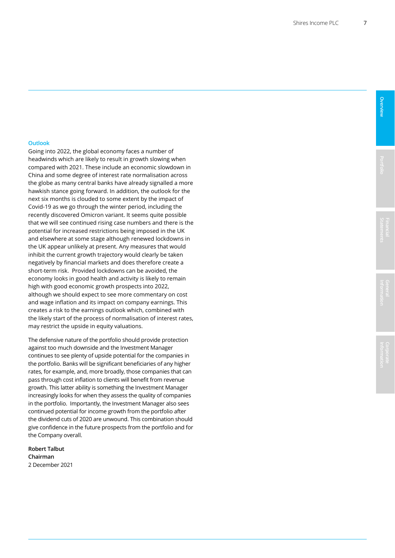### **Outlook**

Going into 2022, the global economy faces a number of headwinds which are likely to result in growth slowing when compared with 2021. These include an economic slowdown in China and some degree of interest rate normalisation across the globe as many central banks have already signalled a more hawkish stance going forward. In addition, the outlook for the next six months is clouded to some extent by the impact of Covid-19 as we go through the winter period, including the recently discovered Omicron variant. It seems quite possible that we will see continued rising case numbers and there is the potential for increased restrictions being imposed in the UK and elsewhere at some stage although renewed lockdowns in the UK appear unlikely at present. Any measures that would inhibit the current growth trajectory would clearly be taken negatively by financial markets and does therefore create a short-term risk. Provided lockdowns can be avoided, the economy looks in good health and activity is likely to remain high with good economic growth prospects into 2022, although we should expect to see more commentary on cost and wage inflation and its impact on company earnings. This creates a risk to the earnings outlook which, combined with the likely start of the process of normalisation of interest rates, may restrict the upside in equity valuations.

The defensive nature of the portfolio should provide protection against too much downside and the Investment Manager continues to see plenty of upside potential for the companies in the portfolio. Banks will be significant beneficiaries of any higher rates, for example, and, more broadly, those companies that can pass through cost inflation to clients will benefit from revenue growth. This latter ability is something the Investment Manager increasingly looks for when they assess the quality of companies in the portfolio. Importantly, the Investment Manager also sees continued potential for income growth from the portfolio after the dividend cuts of 2020 are unwound. This combination should give confidence in the future prospects from the portfolio and for the Company overall.

**Robert Talbut Chairman** 2 December 2021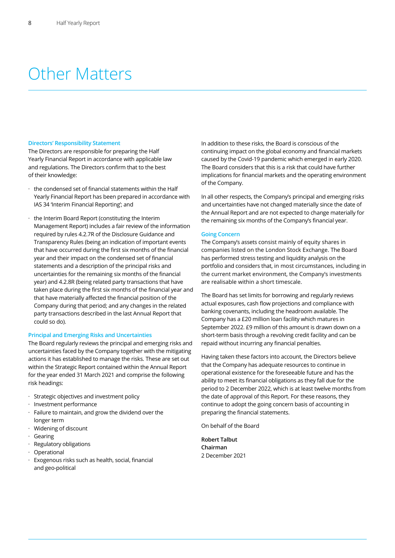### Other Matters

#### **Directors' Responsibility Statement**

The Directors are responsible for preparing the Half Yearly Financial Report in accordance with applicable law and regulations. The Directors confirm that to the best of their knowledge:

- $\cdot$  the condensed set of financial statements within the Half Yearly Financial Report has been prepared in accordance with IAS 34 'Interim Financial Reporting'; and
- the Interim Board Report (constituting the Interim Management Report) includes a fair review of the information required by rules 4.2.7R of the Disclosure Guidance and Transparency Rules (being an indication of important events that have occurred during the first six months of the financial year and their impact on the condensed set of financial statements and a description of the principal risks and uncertainties for the remaining six months of the financial year) and 4.2.8R (being related party transactions that have taken place during the first six months of the financial year and that have materially affected the financial position of the Company during that period; and any changes in the related party transactions described in the last Annual Report that could so do).

### **Principal and Emerging Risks and Uncertainties**

The Board regularly reviews the principal and emerging risks and uncertainties faced by the Company together with the mitigating actions it has established to manage the risks. These are set out within the Strategic Report contained within the Annual Report for the year ended 31 March 2021 and comprise the following risk headings:

- $\cdot$  Strategic objectives and investment policy
- $\cdot$  Investment performance
- $\cdot$  Failure to maintain, and grow the dividend over the longer term
- $·$  Widening of discount
- $·$  Gearing
- $\cdot$  Regulatory obligations
- $·$  Operational
- Exogenous risks such as health, social, financial and geo-political

In addition to these risks, the Board is conscious of the continuing impact on the global economy and financial markets caused by the Covid-19 pandemic which emerged in early 2020. The Board considers that this is a risk that could have further implications for financial markets and the operating environment of the Company.

In all other respects, the Company's principal and emerging risks and uncertainties have not changed materially since the date of the Annual Report and are not expected to change materially for the remaining six months of the Company's financial year.

### **Going Concern**

The Company's assets consist mainly of equity shares in companies listed on the London Stock Exchange. The Board has performed stress testing and liquidity analysis on the portfolio and considers that, in most circumstances, including in the current market environment, the Company's investments are realisable within a short timescale.

The Board has set limits for borrowing and regularly reviews actual exposures, cash flow projections and compliance with banking covenants, including the headroom available. The Company has a £20 million loan facility which matures in September 2022. £9 million of this amount is drawn down on a short-term basis through a revolving credit facility and can be repaid without incurring any financial penalties.

Having taken these factors into account, the Directors believe that the Company has adequate resources to continue in operational existence for the foreseeable future and has the ability to meet its financial obligations as they fall due for the period to 2 December 2022, which is at least twelve months from the date of approval of this Report. For these reasons, they continue to adopt the going concern basis of accounting in preparing the financial statements.

On behalf of the Board

**Robert Talbut Chairman** 2 December 2021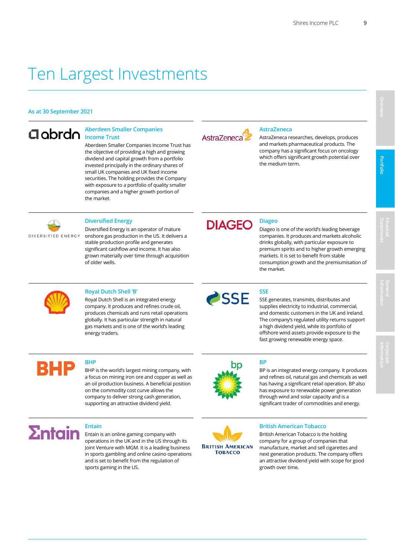### Ten Largest Investments

### **As at 30 September 2021**

### **Aberdeen Smaller Companies Income Trust**

Aberdeen Smaller Companies Income Trust has the objective of providing a high and growing dividend and capital growth from a portfolio invested principally in the ordinary shares of small UK companies and UK fixed income securities. The holding provides the Company with exposure to a portfolio of quality smaller companies and a higher growth portion of the market.



### **AstraZeneca**

AstraZeneca researches, develops, produces and markets pharmaceutical products. The company has a significant focus on oncology which offers significant growth potential over the medium term.



Diversified Energy is an operator of mature onshore gas production in the US. It delivers a stable production profile and generates significant cashflow and income. It has also grown materially over time through acquisition of older wells.



 Diageo is one of the world's leading beverage companies. It produces and markets alcoholic drinks globally, with particular exposure to premium spirits and to higher growth emerging markets. It is set to benefit from stable consumption growth and the premiumisation of the market.

Royal Dutch Shell 'B'<br>Royal Dutch Shell is an integrated energy<br>SSE SSE Royal Dutch Shell is an integrated energy company. It produces and refines crude oil, produces chemicals and runs retail operations globally. It has particular strength in natural gas markets and is one of the world's leading energy traders.



BHP is the world's largest mining company, with a focus on mining iron ore and copper as well as an oil production business. A beneficial position on the commodity cost curve allows the company to deliver strong cash generation, supporting an attractive dividend yield.



### **Entain**

Entain is an online gaming company with operations in the UK and in the US through its Joint Venture with MGM. It is a leading business in sports gambling and online casino operations and is set to benefit from the regulation of sports gaming in the US.



 SSE generates, transmits, distributes and supplies electricity to industrial, commercial, and domestic customers in the UK and Ireland. The company's regulated utility returns support a high dividend yield, while its portfolio of offshore wind assets provide exposure to the fast growing renewable energy space.

**BHP BP** 

 BP is an integrated energy company. It produces and refines oil, natural gas and chemicals as well has having a significant retail operation. BP also has exposure to renewable power generation through wind and solar capacity and is a significant trader of commodities and energy.



### **British American Tobacco**

 growth over time. British American Tobacco is the holding company for a group of companies that manufacture, market and sell cigarettes and next generation products. The company offers an attractive dividend yield with scope for good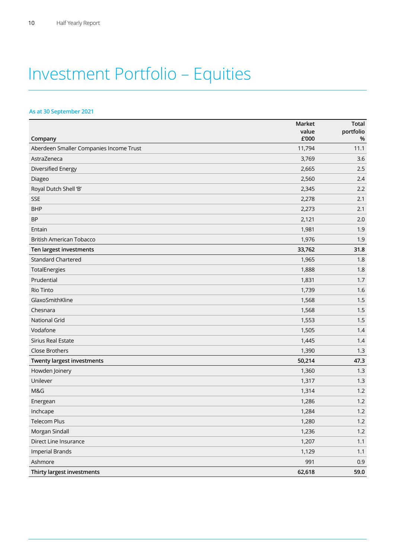## Investment Portfolio – Equities

### **As at 30 September 2021**

|                                         | Market         | <b>Total</b>   |
|-----------------------------------------|----------------|----------------|
| Company                                 | value<br>£'000 | portfolio<br>% |
| Aberdeen Smaller Companies Income Trust | 11,794         | 11.1           |
| AstraZeneca                             | 3,769          | 3.6            |
| Diversified Energy                      | 2,665          | 2.5            |
| Diageo                                  | 2,560          | 2.4            |
| Royal Dutch Shell 'B'                   | 2,345          | 2.2            |
| <b>SSE</b>                              | 2,278          | 2.1            |
| <b>BHP</b>                              | 2,273          | 2.1            |
| <b>BP</b>                               | 2,121          | 2.0            |
| Entain                                  | 1,981          | 1.9            |
| <b>British American Tobacco</b>         | 1,976          | 1.9            |
| Ten largest investments                 | 33,762         | 31.8           |
| <b>Standard Chartered</b>               | 1,965          | 1.8            |
| TotalEnergies                           | 1,888          | 1.8            |
| Prudential                              | 1,831          | 1.7            |
| Rio Tinto                               | 1,739          | 1.6            |
| GlaxoSmithKline                         | 1,568          | 1.5            |
| Chesnara                                | 1,568          | 1.5            |
| <b>National Grid</b>                    | 1,553          | 1.5            |
| Vodafone                                | 1,505          | 1.4            |
| Sirius Real Estate                      | 1,445          | 1.4            |
| Close Brothers                          | 1,390          | 1.3            |
| Twenty largest investments              | 50,214         | 47.3           |
| Howden Joinery                          | 1,360          | 1.3            |
| Unilever                                | 1,317          | 1.3            |
| M&G                                     | 1,314          | 1.2            |
| Energean                                | 1,286          | 1.2            |
| Inchcape                                | 1,284          | 1.2            |
| Telecom Plus                            | 1,280          | $1.2$          |
| Morgan Sindall                          | 1,236          | $1.2$          |
| Direct Line Insurance                   | 1,207          | 1.1            |
| <b>Imperial Brands</b>                  | 1,129          | 1.1            |
| Ashmore                                 | 991            | 0.9            |
| Thirty largest investments              | 62,618         | 59.0           |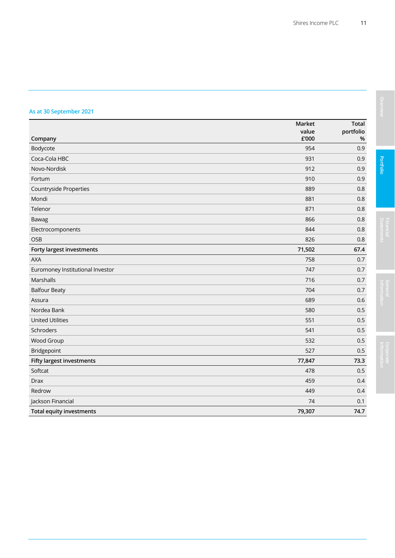### **As at 30 September 2021**

|                                  | Market         | <b>Total</b>   |
|----------------------------------|----------------|----------------|
| Company                          | value<br>£'000 | portfolio<br>% |
| Bodycote                         | 954            | 0.9            |
| Coca-Cola HBC                    | 931            | 0.9            |
| Novo-Nordisk                     | 912            | 0.9            |
| Fortum                           | 910            | 0.9            |
| Countryside Properties           | 889            | 0.8            |
| Mondi                            | 881            | 0.8            |
| Telenor                          | 871            | 0.8            |
| Bawag                            | 866            | 0.8            |
| Electrocomponents                | 844            | 0.8            |
| OSB                              | 826            | 0.8            |
| <b>Forty largest investments</b> | 71,502         | 67.4           |
| <b>AXA</b>                       | 758            | 0.7            |
| Euromoney Institutional Investor | 747            | 0.7            |
| Marshalls                        | 716            | 0.7            |
| <b>Balfour Beaty</b>             | 704            | 0.7            |
| Assura                           | 689            | 0.6            |
| Nordea Bank                      | 580            | 0.5            |
| <b>United Utilities</b>          | 551            | 0.5            |
| Schroders                        | 541            | 0.5            |
| Wood Group                       | 532            | 0.5            |
| Bridgepoint                      | 527            | 0.5            |
| <b>Fifty largest investments</b> | 77,847         | 73.3           |
| Softcat                          | 478            | 0.5            |
| <b>Drax</b>                      | 459            | 0.4            |
| Redrow                           | 449            | 0.4            |
| Jackson Financial                | 74             | 0.1            |
| <b>Total equity investments</b>  | 79,307         | 74.7           |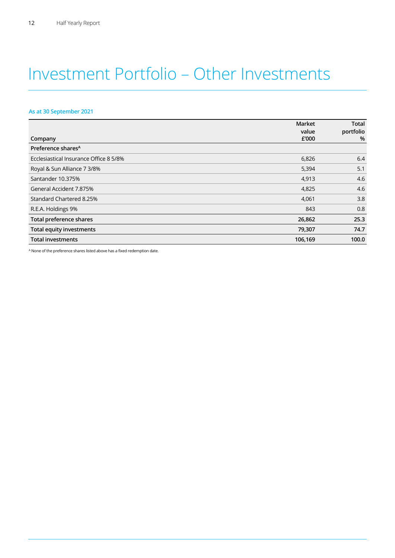### Investment Portfolio – Other Investments

### **As at 30 September 2021**

|                                        | Market<br>value | <b>Total</b><br>portfolio |
|----------------------------------------|-----------------|---------------------------|
| Company                                | £'000           | %                         |
| Preference shares <sup>A</sup>         |                 |                           |
| Ecclesiastical Insurance Office 8 5/8% | 6,826           | 6.4                       |
| Royal & Sun Alliance 7 3/8%            | 5,394           | 5.1                       |
| Santander 10.375%                      | 4,913           | 4.6                       |
| General Accident 7.875%                | 4,825           | 4.6                       |
| Standard Chartered 8.25%               | 4,061           | 3.8                       |
| R.E.A. Holdings 9%                     | 843             | 0.8                       |
| <b>Total preference shares</b>         | 26,862          | 25.3                      |
| <b>Total equity investments</b>        | 79,307          | 74.7                      |
| <b>Total investments</b>               | 106,169         | 100.0                     |

A None of the preference shares listed above has a fixed redemption date.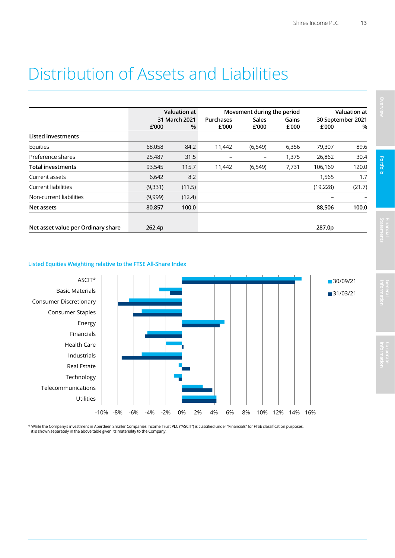### Distribution of Assets and Liabilities

|                                    |               | Valuation at |                                  | Movement during the period |       |                   | <b>Valuation at</b> |  |  |
|------------------------------------|---------------|--------------|----------------------------------|----------------------------|-------|-------------------|---------------------|--|--|
|                                    | 31 March 2021 |              | <b>Sales</b><br><b>Purchases</b> |                            | Gains | 30 September 2021 |                     |  |  |
|                                    | £'000         | %            | £'000                            | £'000                      | £'000 | £'000             | %                   |  |  |
| Listed investments                 |               |              |                                  |                            |       |                   |                     |  |  |
| Equities                           | 68,058        | 84.2         | 11,442                           | (6, 549)                   | 6,356 | 79,307            | 89.6                |  |  |
| Preference shares                  | 25,487        | 31.5         |                                  |                            | 1,375 | 26,862            | 30.4                |  |  |
| <b>Total investments</b>           | 93,545        | 115.7        | 11,442                           | (6, 549)                   | 7,731 | 106,169           | 120.0               |  |  |
| Current assets                     | 6,642         | 8.2          |                                  |                            |       | 1,565             | 1.7                 |  |  |
| <b>Current liabilities</b>         | (9, 331)      | (11.5)       |                                  |                            |       | (19,228)          | (21.7)              |  |  |
| Non-current liabilities            | (9,999)       | (12.4)       |                                  |                            |       |                   |                     |  |  |
| Net assets                         | 80,857        | 100.0        |                                  |                            |       | 88,506            | 100.0               |  |  |
| Net asset value per Ordinary share | 262.4p        |              |                                  |                            |       | 287.0p            |                     |  |  |

### **Listed Equities Weighting relative to the FTSE All-Share Index**



\* While the Company's investment in Aberdeen Smaller Companies Income Trust PLC ("ASCIT") is classified under "Financials" for FTSE classification purposes, it is shown separately in the above table given its materiality to the Company.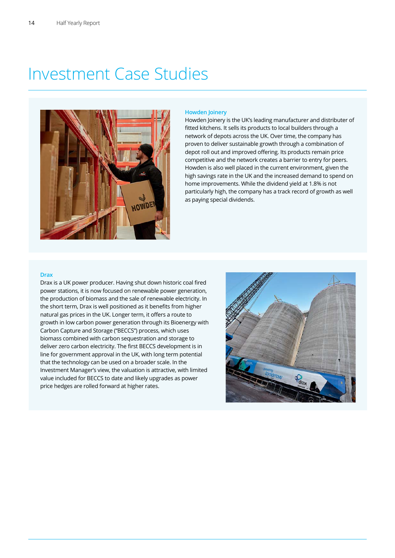### Investment Case Studies



### **Howden Joinery**

Howden Joinery is the UK's leading manufacturer and distributer of fitted kitchens. It sells its products to local builders through a network of depots across the UK. Over time, the company has proven to deliver sustainable growth through a combination of depot roll out and improved offering. Its products remain price competitive and the network creates a barrier to entry for peers. Howden is also well placed in the current environment, given the high savings rate in the UK and the increased demand to spend on home improvements. While the dividend yield at 1.8% is not particularly high, the company has a track record of growth as well as paying special dividends.

#### **Drax**

Drax is a UK power producer. Having shut down historic coal fired power stations, it is now focused on renewable power generation, the production of biomass and the sale of renewable electricity. In the short term, Drax is well positioned as it benefits from higher natural gas prices in the UK. Longer term, it offers a route to growth in low carbon power generation through its Bioenergy with Carbon Capture and Storage ("BECCS") process, which uses biomass combined with carbon sequestration and storage to deliver zero carbon electricity. The first BECCS development is in line for government approval in the UK, with long term potential that the technology can be used on a broader scale. In the Investment Manager's view, the valuation is attractive, with limited value included for BECCS to date and likely upgrades as power price hedges are rolled forward at higher rates.

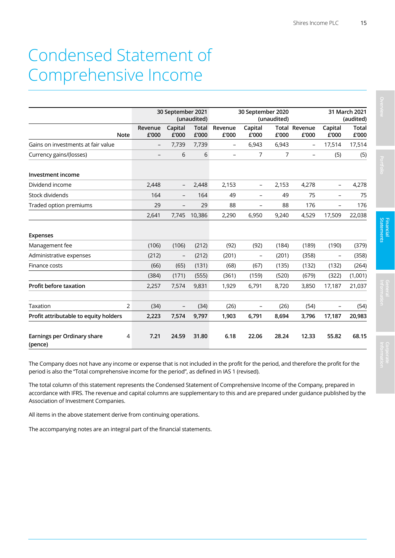### Condensed Statement of Comprehensive Income

|                                             |                  | 30 September 2021        | (unaudited)    |                  | 30 September 2020        | (unaudited) |                               |                          | 31 March 2021<br>(audited) |
|---------------------------------------------|------------------|--------------------------|----------------|------------------|--------------------------|-------------|-------------------------------|--------------------------|----------------------------|
| <b>Note</b>                                 | Revenue<br>£'000 | Capital<br>£'000         | Total<br>£'000 | Revenue<br>£'000 | Capital<br>£'000         | £'000       | <b>Total Revenue</b><br>£'000 | Capital<br>£'000         | <b>Total</b><br>£'000      |
| Gains on investments at fair value          |                  | 7,739                    | 7,739          | -                | 6,943                    | 6,943       | $\overline{\phantom{0}}$      | 17,514                   | 17,514                     |
| Currency gains/(losses)                     |                  | 6                        | 6              | $\equiv$         | $\overline{7}$           | 7           |                               | (5)                      | (5)                        |
| Investment income                           |                  |                          |                |                  |                          |             |                               |                          |                            |
| Dividend income                             | 2,448            |                          | 2,448          | 2,153            |                          | 2,153       | 4,278                         |                          | 4,278                      |
| Stock dividends                             | 164              | $\overline{\phantom{0}}$ | 164            | 49               | $\overline{\phantom{a}}$ | 49          | 75                            | $\overline{\phantom{0}}$ | 75                         |
| Traded option premiums                      | 29               | $\overline{\phantom{0}}$ | 29             | 88               | $\overline{\phantom{a}}$ | 88          | 176                           | $\overline{\phantom{0}}$ | 176                        |
|                                             | 2,641            | 7,745                    | 10,386         | 2,290            | 6,950                    | 9,240       | 4,529                         | 17,509                   | 22,038                     |
| <b>Expenses</b>                             |                  |                          |                |                  |                          |             |                               |                          |                            |
| Management fee                              | (106)            | (106)                    | (212)          | (92)             | (92)                     | (184)       | (189)                         | (190)                    | (379)                      |
| Administrative expenses                     | (212)            | -                        | (212)          | (201)            | $\overline{\phantom{a}}$ | (201)       | (358)                         | $\overline{\phantom{a}}$ | (358)                      |
| Finance costs                               | (66)             | (65)                     | (131)          | (68)             | (67)                     | (135)       | (132)                         | (132)                    | (264)                      |
|                                             | (384)            | (171)                    | (555)          | (361)            | (159)                    | (520)       | (679)                         | (322)                    | (1,001)                    |
| Profit before taxation                      | 2,257            | 7,574                    | 9,831          | 1,929            | 6,791                    | 8,720       | 3,850                         | 17,187                   | 21,037                     |
|                                             |                  |                          |                |                  |                          |             |                               |                          |                            |
| 2<br>Taxation                               | (34)             | $\overline{\phantom{0}}$ | (34)           | (26)             | $\overline{\phantom{0}}$ | (26)        | (54)                          | $\overline{\phantom{0}}$ | (54)                       |
| Profit attributable to equity holders       | 2,223            | 7,574                    | 9,797          | 1,903            | 6,791                    | 8,694       | 3,796                         | 17,187                   | 20,983                     |
| Earnings per Ordinary share<br>4<br>(pence) | 7.21             | 24.59                    | 31.80          | 6.18             | 22.06                    | 28.24       | 12.33                         | 55.82                    | 68.15                      |

The Company does not have any income or expense that is not included in the profit for the period, and therefore the profit for the period is also the "Total comprehensive income for the period", as defined in IAS 1 (revised).

The total column of this statement represents the Condensed Statement of Comprehensive Income of the Company, prepared in accordance with IFRS. The revenue and capital columns are supplementary to this and are prepared under guidance published by the Association of Investment Companies.

All items in the above statement derive from continuing operations.

The accompanying notes are an integral part of the financial statements.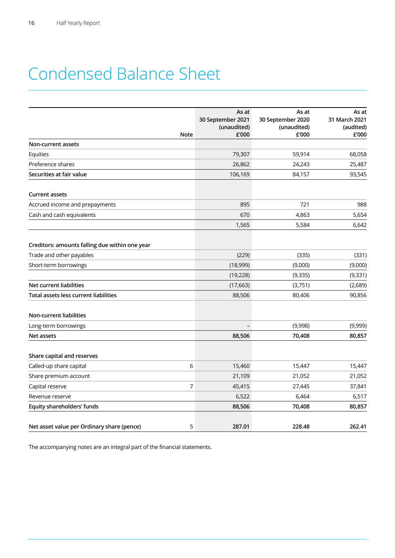## Condensed Balance Sheet

|                                                 | As at<br>30 September 2021<br>(unaudited) | As at<br>30 September 2020<br>(unaudited)<br>£'000 | As at<br>31 March 2021<br>(audited)<br>£'000 |
|-------------------------------------------------|-------------------------------------------|----------------------------------------------------|----------------------------------------------|
| <b>Note</b><br>Non-current assets               | £'000                                     |                                                    |                                              |
| Equities                                        | 79,307                                    | 59,914                                             | 68,058                                       |
| Preference shares                               | 26,862                                    | 24,243                                             | 25,487                                       |
| Securities at fair value                        | 106,169                                   | 84,157                                             | 93,545                                       |
| <b>Current assets</b>                           |                                           |                                                    |                                              |
| Accrued income and prepayments                  | 895                                       | 721                                                | 988                                          |
| Cash and cash equivalents                       | 670                                       | 4,863                                              | 5,654                                        |
|                                                 | 1,565                                     | 5,584                                              | 6,642                                        |
| Creditors: amounts falling due within one year  |                                           |                                                    |                                              |
| Trade and other payables                        | (229)                                     | (335)                                              | (331)                                        |
| Short-term borrowings                           | (18,999)                                  | (9,000)                                            | (9,000)                                      |
|                                                 | (19, 228)                                 | (9, 335)                                           | (9, 331)                                     |
| <b>Net current liabilities</b>                  | (17,663)                                  | (3,751)                                            | (2,689)                                      |
| Total assets less current liabilities           | 88,506                                    | 80,406                                             | 90,856                                       |
| <b>Non-current liabilities</b>                  |                                           |                                                    |                                              |
| Long-term borrowings                            |                                           | (9,998)                                            | (9,999)                                      |
| Net assets                                      | 88,506                                    | 70,408                                             | 80,857                                       |
| Share capital and reserves                      |                                           |                                                    |                                              |
| 6<br>Called-up share capital                    | 15,460                                    | 15,447                                             | 15,447                                       |
| Share premium account                           | 21,109                                    | 21,052                                             | 21,052                                       |
| $\overline{7}$<br>Capital reserve               | 45,415                                    | 27,445                                             | 37,841                                       |
| Revenue reserve                                 | 6,522                                     | 6,464                                              | 6,517                                        |
| Equity shareholders' funds                      | 88,506                                    | 70,408                                             | 80,857                                       |
| Net asset value per Ordinary share (pence)<br>5 | 287.01                                    | 228.48                                             | 262.41                                       |

The accompanying notes are an integral part of the financial statements.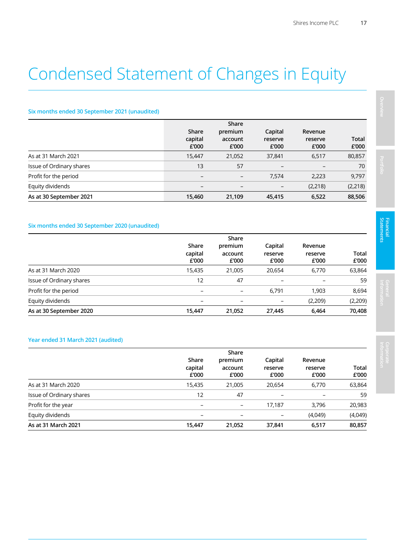## Condensed Statement of Changes in Equity

### **Six months ended 30 September 2021 (unaudited)**

|                          | Share<br>capital<br>£'000 | Share<br>premium<br>account<br>£'000 | Capital<br>reserve<br>£'000 | Revenue<br>reserve<br>£'000 | <b>Total</b><br>£'000 |
|--------------------------|---------------------------|--------------------------------------|-----------------------------|-----------------------------|-----------------------|
| As at 31 March 2021      | 15.447                    | 21,052                               | 37,841                      | 6,517                       | 80,857                |
| Issue of Ordinary shares | 13                        | 57                                   |                             |                             | 70                    |
| Profit for the period    | $\overline{\phantom{m}}$  | $\qquad \qquad -$                    | 7,574                       | 2,223                       | 9,797                 |
| Equity dividends         |                           |                                      |                             | (2,218)                     | (2, 218)              |
| As at 30 September 2021  | 15,460                    | 21,109                               | 45,415                      | 6,522                       | 88,506                |

### **Six months ended 30 September 2020 (unaudited)**

|                          | Share                     |                             |                             |                             |                       |
|--------------------------|---------------------------|-----------------------------|-----------------------------|-----------------------------|-----------------------|
|                          | Share<br>capital<br>£'000 | premium<br>account<br>£'000 | Capital<br>reserve<br>£'000 | Revenue<br>reserve<br>£'000 | <b>Total</b><br>£'000 |
| As at 31 March 2020      | 15,435                    | 21,005                      | 20,654                      | 6,770                       | 63,864                |
| Issue of Ordinary shares | 12                        | 47                          | $\qquad \qquad$             |                             | 59                    |
| Profit for the period    | $\overline{\phantom{0}}$  | $\qquad \qquad$             | 6,791                       | 1,903                       | 8,694                 |
| Equity dividends         |                           |                             | $\qquad \qquad$             | (2,209)                     | (2, 209)              |
| As at 30 September 2020  | 15,447                    | 21,052                      | 27,445                      | 6,464                       | 70,408                |

### **Year ended 31 March 2021 (audited)**

|                          | Share<br>capital<br>£'000 | Share<br>premium<br>account<br>£'000 | Capital<br>reserve<br>£'000 | Revenue<br>reserve<br>£'000 | <b>Total</b><br>£'000 |
|--------------------------|---------------------------|--------------------------------------|-----------------------------|-----------------------------|-----------------------|
| As at 31 March 2020      | 15,435                    | 21,005                               | 20,654                      | 6,770                       | 63,864                |
| Issue of Ordinary shares | 12                        | 47                                   |                             |                             | 59                    |
| Profit for the year      | $\overline{\phantom{0}}$  | $\qquad \qquad -$                    | 17,187                      | 3.796                       | 20,983                |
| Equity dividends         |                           |                                      |                             | (4,049)                     | (4,049)               |
| As at 31 March 2021      | 15.447                    | 21,052                               | 37,841                      | 6,517                       | 80,857                |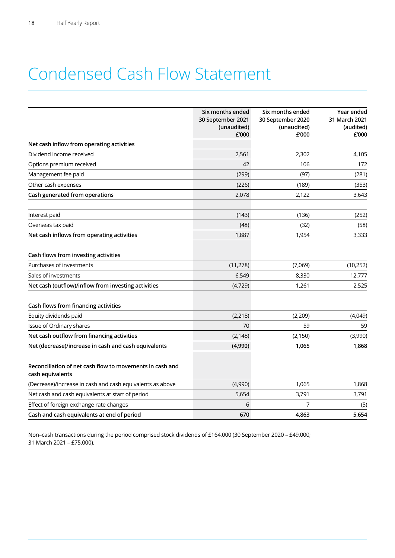## Condensed Cash Flow Statement

|                                                                              | Six months ended<br>30 September 2021<br>(unaudited) | Six months ended<br>30 September 2020<br>(unaudited) | Year ended<br>31 March 2021<br>(audited) |
|------------------------------------------------------------------------------|------------------------------------------------------|------------------------------------------------------|------------------------------------------|
| Net cash inflow from operating activities                                    | £'000                                                | £'000                                                | £'000                                    |
| Dividend income received                                                     | 2,561                                                | 2,302                                                | 4,105                                    |
| Options premium received                                                     | 42                                                   | 106                                                  | 172                                      |
| Management fee paid                                                          | (299)                                                | (97)                                                 | (281)                                    |
| Other cash expenses                                                          | (226)                                                | (189)                                                | (353)                                    |
| Cash generated from operations                                               | 2,078                                                | 2,122                                                | 3,643                                    |
| Interest paid                                                                | (143)                                                | (136)                                                | (252)                                    |
| Overseas tax paid                                                            | (48)                                                 | (32)                                                 | (58)                                     |
| Net cash inflows from operating activities                                   | 1,887                                                | 1,954                                                | 3,333                                    |
| Cash flows from investing activities                                         |                                                      |                                                      |                                          |
| Purchases of investments                                                     | (11, 278)                                            | (7,069)                                              | (10, 252)                                |
| Sales of investments                                                         | 6,549                                                | 8,330                                                | 12,777                                   |
| Net cash (outflow)/inflow from investing activities                          | (4, 729)                                             | 1,261                                                | 2,525                                    |
| Cash flows from financing activities                                         |                                                      |                                                      |                                          |
| Equity dividends paid                                                        | (2, 218)                                             | (2, 209)                                             | (4,049)                                  |
| Issue of Ordinary shares                                                     | 70                                                   | 59                                                   | 59                                       |
| Net cash outflow from financing activities                                   | (2, 148)                                             | (2, 150)                                             | (3,990)                                  |
| Net (decrease)/increase in cash and cash equivalents                         | (4,990)                                              | 1,065                                                | 1,868                                    |
| Reconciliation of net cash flow to movements in cash and<br>cash equivalents |                                                      |                                                      |                                          |
| (Decrease)/increase in cash and cash equivalents as above                    | (4,990)                                              | 1,065                                                | 1,868                                    |
| Net cash and cash equivalents at start of period                             | 5,654                                                | 3,791                                                | 3,791                                    |
| Effect of foreign exchange rate changes                                      | 6                                                    | 7                                                    | (5)                                      |
| Cash and cash equivalents at end of period                                   | 670                                                  | 4,863                                                | 5,654                                    |

Non–cash transactions during the period comprised stock dividends of £164,000 (30 September 2020 – £49,000; 31 March 2021 – £75,000).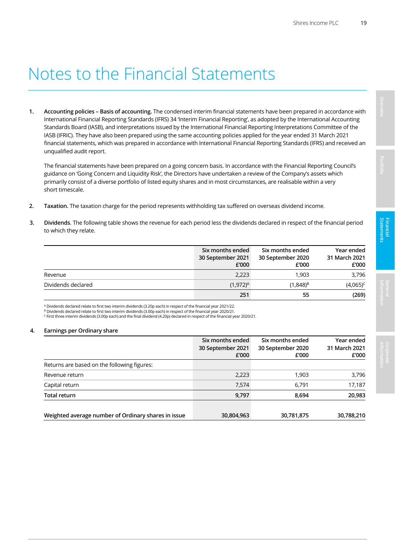### Notes to the Financial Statements

**1. Accounting policies – Basis of accounting.** The condensed interim financial statements have been prepared in accordance with International Financial Reporting Standards (IFRS) 34 'Interim Financial Reporting', as adopted by the International Accounting Standards Board (IASB), and interpretations issued by the International Financial Reporting Interpretations Committee of the IASB (IFRIC). They have also been prepared using the same accounting policies applied for the year ended 31 March 2021 financial statements, which was prepared in accordance with International Financial Reporting Standards (IFRS) and received an unqualified audit report.

The financial statements have been prepared on a going concern basis. In accordance with the Financial Reporting Council's guidance on 'Going Concern and Liquidity Risk', the Directors have undertaken a review of the Company's assets which primarily consist of a diverse portfolio of listed equity shares and in most circumstances, are realisable within a very short timescale.

- **2. Taxation.** The taxation charge for the period represents withholding tax suffered on overseas dividend income.
- **3. Dividends**. The following table shows the revenue for each period less the dividends declared in respect of the financial period to which they relate.

|                    | Six months ended<br>30 September 2021<br>£'000 | Six months ended<br>30 September 2020<br>£'000 | Year ended<br>31 March 2021<br>£'000 |
|--------------------|------------------------------------------------|------------------------------------------------|--------------------------------------|
| Revenue            | 2,223                                          | 1.903                                          | 3,796                                |
| Dividends declared | $(1,972)^A$                                    | $(1,848)^{B}$                                  | $(4,065)^{C}$                        |
|                    | 251                                            | 55                                             | (269)                                |

A Dividends declared relate to first two interim dividends (3.20p each) in respect of the financial year 2021/22.

<sup>8</sup> Dividends declared relate to first two interim dividends (3.00p each) in respect of the financial year 2020/21.<br><sup>C</sup> First three interim dividends (3.00p each) and the final dividend (4.20p) declared in respect of the f

#### **4. Earnings per Ordinary share**

|                                                     | Six months ended<br>30 September 2021<br>£'000 | Six months ended<br>30 September 2020<br>£'000 | Year ended<br>31 March 2021<br>£'000 |
|-----------------------------------------------------|------------------------------------------------|------------------------------------------------|--------------------------------------|
| Returns are based on the following figures:         |                                                |                                                |                                      |
| Revenue return                                      | 2,223                                          | 1,903                                          | 3,796                                |
| Capital return                                      | 7,574                                          | 6,791                                          | 17,187                               |
| <b>Total return</b>                                 | 9,797                                          | 8,694                                          | 20,983                               |
| Weighted average number of Ordinary shares in issue | 30,804,963                                     | 30,781,875                                     | 30,788,210                           |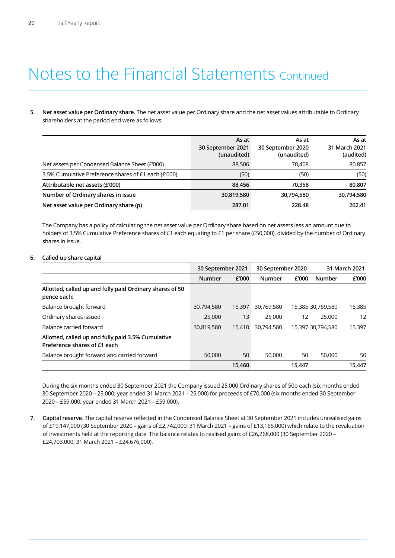### Notes to the Financial Statements Continued

**5. Net asset value per Ordinary share.** The net asset value per Ordinary share and the net asset values attributable to Ordinary shareholders at the period end were as follows:

|                                                      | As at<br>30 September 2021<br>(unaudited) | As at<br>30 September 2020<br>(unaudited) | As at<br>31 March 2021<br>(audited) |
|------------------------------------------------------|-------------------------------------------|-------------------------------------------|-------------------------------------|
| Net assets per Condensed Balance Sheet (£'000)       | 88,506                                    | 70.408                                    | 80,857                              |
| 3.5% Cumulative Preference shares of £1 each (£'000) | (50)                                      | (50)                                      | (50)                                |
| Attributable net assets (£'000)                      | 88.456                                    | 70.358                                    | 80,807                              |
| Number of Ordinary shares in issue                   | 30,819,580                                | 30,794,580                                | 30,794,580                          |
| Net asset value per Ordinary share (p)               | 287.01                                    | 228.48                                    | 262.41                              |

 The Company has a policy of calculating the net asset value per Ordinary share based on net assets less an amount due to holders of 3.5% Cumulative Preference shares of £1 each equating to £1 per share (£50,000), divided by the number of Ordinary shares in issue.

### **6. Called up share capital**

|                                                                                    | 30 September 2021 |        | 30 September 2020 |        | 31 March 2021     |        |
|------------------------------------------------------------------------------------|-------------------|--------|-------------------|--------|-------------------|--------|
|                                                                                    | <b>Number</b>     | £'000  | Number            | £'000  | Number            | £'000  |
| Allotted, called up and fully paid Ordinary shares of 50<br>pence each:            |                   |        |                   |        |                   |        |
| Balance brought forward                                                            | 30,794,580        | 15,397 | 30,769,580        |        | 15,385 30,769,580 | 15,385 |
| Ordinary shares issued                                                             | 25,000            | 13     | 25,000            | 12     | 25,000            | 12     |
| Balance carried forward                                                            | 30,819,580        | 15,410 | 30,794,580        |        | 15,397 30,794,580 | 15,397 |
| Allotted, called up and fully paid 3.5% Cumulative<br>Preference shares of £1 each |                   |        |                   |        |                   |        |
| Balance brought forward and carried forward                                        | 50,000            | 50     | 50,000            | 50     | 50,000            | 50     |
|                                                                                    |                   | 15.460 |                   | 15,447 |                   | 15.447 |

 During the six months ended 30 September 2021 the Company issued 25,000 Ordinary shares of 50p each (six months ended 30 September 2020 – 25,000; year ended 31 March 2021 – 25,000) for proceeds of £70,000 (six months ended 30 September 2020 – £59,000; year ended 31 March 2021 – £59,000).

**7. Capital reserve**. The capital reserve reflected in the Condensed Balance Sheet at 30 September 2021 includes unrealised gains of £19,147,000 (30 September 2020 – gains of £2,742,000; 31 March 2021 – gains of £13,165,000) which relate to the revaluation of investments held at the reporting date. The balance relates to realised gains of £26,268,000 (30 September 2020 – £24,703,000; 31 March 2021 – £24,676,000).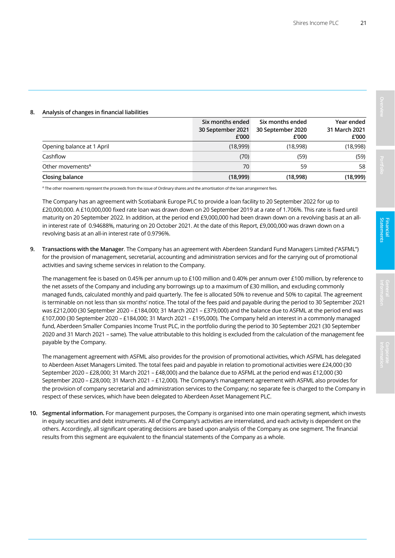|                              | Six months ended<br>30 September 2021<br>£'000 | Six months ended<br>30 September 2020<br>£'000 | Year ended<br>31 March 2021<br>£'000 |
|------------------------------|------------------------------------------------|------------------------------------------------|--------------------------------------|
| Opening balance at 1 April   | (18,999)                                       | (18,998)                                       | (18,998)                             |
| Cashflow                     | (70)                                           | (59)                                           | (59)                                 |
| Other movements <sup>A</sup> | 70                                             | 59                                             | 58                                   |
| Closing balance              | (18,999)                                       | (18,998)                                       | (18,999)                             |

### **8. Analysis of changes in financial liabilities**

A The other movements represent the proceeds from the issue of Ordinary shares and the amortisation of the loan arrangement fees.

The Company has an agreement with Scotiabank Europe PLC to provide a loan facility to 20 September 2022 for up to £20,000,000. A £10,000,000 fixed rate loan was drawn down on 20 September 2019 at a rate of 1.706%. This rate is fixed until maturity on 20 September 2022. In addition, at the period end £9,000,000 had been drawn down on a revolving basis at an allin interest rate of 0.94688%, maturing on 20 October 2021. At the date of this Report, £9,000,000 was drawn down on a revolving basis at an all-in interest rate of 0.9796%.

**9. Transactions with the Manager**. The Company has an agreement with Aberdeen Standard Fund Managers Limited ("ASFML") for the provision of management, secretarial, accounting and administration services and for the carrying out of promotional activities and saving scheme services in relation to the Company.

The management fee is based on 0.45% per annum up to £100 million and 0.40% per annum over £100 million, by reference to the net assets of the Company and including any borrowings up to a maximum of £30 million, and excluding commonly managed funds, calculated monthly and paid quarterly. The fee is allocated 50% to revenue and 50% to capital. The agreement is terminable on not less than six months' notice. The total of the fees paid and payable during the period to 30 September 2021 was £212,000 (30 September 2020 – £184,000; 31 March 2021 – £379,000) and the balance due to ASFML at the period end was £107,000 (30 September 2020 – £184,000; 31 March 2021 – £195,000). The Company held an interest in a commonly managed fund, Aberdeen Smaller Companies Income Trust PLC, in the portfolio during the period to 30 September 2021 (30 September 2020 and 31 March 2021 – same). The value attributable to this holding is excluded from the calculation of the management fee payable by the Company.

 The management agreement with ASFML also provides for the provision of promotional activities, which ASFML has delegated to Aberdeen Asset Managers Limited. The total fees paid and payable in relation to promotional activities were £24,000 (30 September 2020 – £28,000; 31 March 2021 – £48,000) and the balance due to ASFML at the period end was £12,000 (30 September 2020 – £28,000; 31 March 2021 – £12,000). The Company's management agreement with ASFML also provides for the provision of company secretarial and administration services to the Company; no separate fee is charged to the Company in respect of these services, which have been delegated to Aberdeen Asset Management PLC.

**10. Segmental information.** For management purposes, the Company is organised into one main operating segment, which invests in equity securities and debt instruments. All of the Company's activities are interrelated, and each activity is dependent on the others. Accordingly, all significant operating decisions are based upon analysis of the Company as one segment. The financial results from this segment are equivalent to the financial statements of the Company as a whole.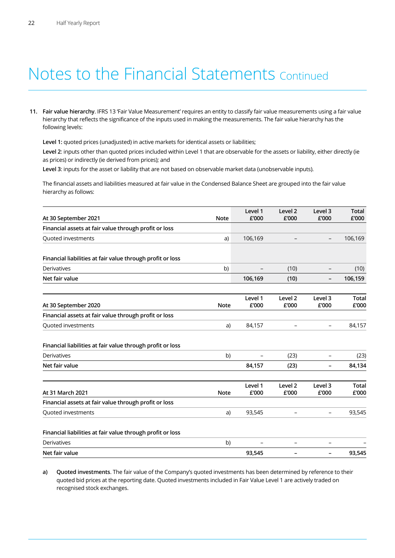### Notes to the Financial Statements Continued

**11. Fair value hierarchy**. IFRS 13 'Fair Value Measurement' requires an entity to classify fair value measurements using a fair value hierarchy that reflects the significance of the inputs used in making the measurements. The fair value hierarchy has the following levels:

 **Level 1:** quoted prices (unadjusted) in active markets for identical assets or liabilities;

**Level 2**: inputs other than quoted prices included within Level 1 that are observable for the assets or liability, either directly (ie as prices) or indirectly (ie derived from prices); and

**Level 3**: inputs for the asset or liability that are not based on observable market data (unobservable inputs).

 The financial assets and liabilities measured at fair value in the Condensed Balance Sheet are grouped into the fair value hierarchy as follows:

| At 30 September 2021                                                                            | <b>Note</b> | Level 1<br>£'000 | Level <sub>2</sub><br>£'000 | Level 3<br>£'000         | <b>Total</b><br>£'000 |
|-------------------------------------------------------------------------------------------------|-------------|------------------|-----------------------------|--------------------------|-----------------------|
| Financial assets at fair value through profit or loss                                           |             |                  |                             |                          |                       |
| Quoted investments                                                                              | a)          | 106,169          |                             | $\overline{\phantom{a}}$ | 106,169               |
| Financial liabilities at fair value through profit or loss                                      |             |                  |                             |                          |                       |
| <b>Derivatives</b>                                                                              | b)          | -                | (10)                        | $\overline{\phantom{a}}$ | (10)                  |
| Net fair value                                                                                  |             | 106,169          | (10)                        | $\overline{\phantom{a}}$ | 106,159               |
| At 30 September 2020                                                                            | <b>Note</b> | Level 1<br>£'000 | Level 2<br>£'000            | Level 3<br>£'000         | <b>Total</b><br>£'000 |
| Financial assets at fair value through profit or loss                                           |             |                  |                             |                          |                       |
| Quoted investments                                                                              | a)          | 84,157           |                             | $\overline{\phantom{0}}$ | 84,157                |
| Financial liabilities at fair value through profit or loss                                      |             |                  |                             |                          |                       |
| <b>Derivatives</b>                                                                              | b)          |                  | (23)                        |                          |                       |
| Net fair value                                                                                  |             | 84,157           | (23)                        |                          | (23)<br>84,134        |
|                                                                                                 | <b>Note</b> | Level 1<br>£'000 | Level 2<br>£'000            | Level 3<br>£'000         | <b>Total</b><br>£'000 |
|                                                                                                 |             |                  |                             |                          |                       |
| At 31 March 2021<br>Financial assets at fair value through profit or loss<br>Quoted investments | a)          | 93,545           |                             | $\overline{\phantom{a}}$ | 93,545                |
| Financial liabilities at fair value through profit or loss                                      |             |                  |                             |                          |                       |
| <b>Derivatives</b>                                                                              | b)          |                  | $\overline{\phantom{0}}$    | $\overline{\phantom{0}}$ |                       |

**a) Quoted investments**. The fair value of the Company's quoted investments has been determined by reference to their quoted bid prices at the reporting date. Quoted investments included in Fair Value Level 1 are actively traded on recognised stock exchanges.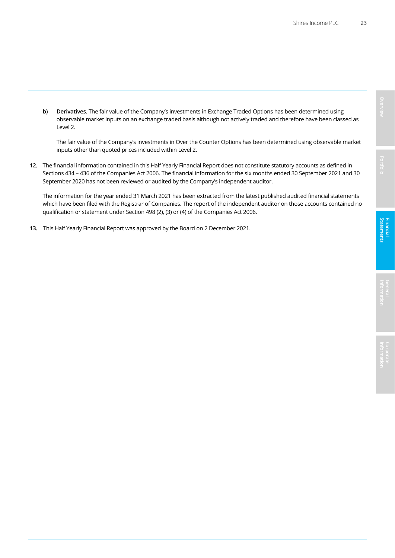**b) Derivatives**. The fair value of the Company's investments in Exchange Traded Options has been determined using observable market inputs on an exchange traded basis although not actively traded and therefore have been classed as Level 2.

The fair value of the Company's investments in Over the Counter Options has been determined using observable market inputs other than quoted prices included within Level 2.

**12.** The financial information contained in this Half Yearly Financial Report does not constitute statutory accounts as defined in Sections 434 – 436 of the Companies Act 2006. The financial information for the six months ended 30 September 2021 and 30 September 2020 has not been reviewed or audited by the Company's independent auditor.

The information for the year ended 31 March 2021 has been extracted from the latest published audited financial statements which have been filed with the Registrar of Companies. The report of the independent auditor on those accounts contained no qualification or statement under Section 498 (2), (3) or (4) of the Companies Act 2006.

**13.** This Half Yearly Financial Report was approved by the Board on 2 December 2021.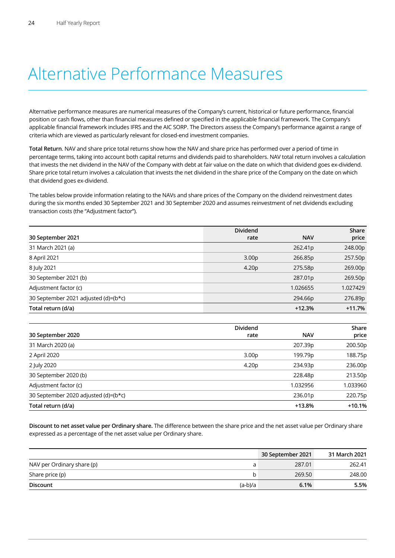### Alternative Performance Measures

Alternative performance measures are numerical measures of the Company's current, historical or future performance, financial position or cash flows, other than financial measures defined or specified in the applicable financial framework. The Company's applicable financial framework includes IFRS and the AIC SORP. The Directors assess the Company's performance against a range of criteria which are viewed as particularly relevant for closed-end investment companies.

**Total Return**. NAV and share price total returns show how the NAV and share price has performed over a period of time in percentage terms, taking into account both capital returns and dividends paid to shareholders. NAV total return involves a calculation that invests the net dividend in the NAV of the Company with debt at fair value on the date on which that dividend goes ex-dividend. Share price total return involves a calculation that invests the net dividend in the share price of the Company on the date on which that dividend goes ex-dividend.

The tables below provide information relating to the NAVs and share prices of the Company on the dividend reinvestment dates during the six months ended 30 September 2021 and 30 September 2020 and assumes reinvestment of net dividends excluding transaction costs (the "Adjustment factor").

|                                      | <b>Dividend</b>   |            | Share    |
|--------------------------------------|-------------------|------------|----------|
| 30 September 2021                    | rate              | <b>NAV</b> | price    |
| 31 March 2021 (a)                    |                   | 262.41p    | 248.00p  |
| 8 April 2021                         | 3.00 <sub>p</sub> | 266.85p    | 257.50p  |
| 8 July 2021                          | 4.20 <sub>p</sub> | 275.58p    | 269.00p  |
| 30 September 2021 (b)                |                   | 287.01p    | 269.50p  |
| Adjustment factor (c)                |                   | 1.026655   | 1.027429 |
| 30 September 2021 adjusted (d)=(b*c) |                   | 294.66p    | 276.89p  |
| Total return (d/a)                   |                   | $+12.3%$   | $+11.7%$ |

|                                      | <b>Dividend</b>   |            | Share    |
|--------------------------------------|-------------------|------------|----------|
| 30 September 2020                    | rate              | <b>NAV</b> | price    |
| 31 March 2020 (a)                    |                   | 207.39p    | 200.50p  |
| 2 April 2020                         | 3.00 <sub>p</sub> | 199.79p    | 188.75p  |
| 2 July 2020                          | 4.20 <sub>p</sub> | 234.93p    | 236.00p  |
| 30 September 2020 (b)                |                   | 228.48p    | 213.50p  |
| Adjustment factor (c)                |                   | 1.032956   | 1.033960 |
| 30 September 2020 adjusted (d)=(b*c) |                   | 236.01p    | 220.75p  |
| Total return (d/a)                   |                   | $+13.8%$   | $+10.1%$ |

**Discount to net asset value per Ordinary share.** The difference between the share price and the net asset value per Ordinary share expressed as a percentage of the net asset value per Ordinary share.

|                            |           | 30 September 2021 | 31 March 2021 |
|----------------------------|-----------|-------------------|---------------|
| NAV per Ordinary share (p) |           | 287.01            | 262.41        |
| Share price (p)            |           | 269.50            | 248.00        |
| <b>Discount</b>            | $(a-b)/a$ | 6.1%              | 5.5%          |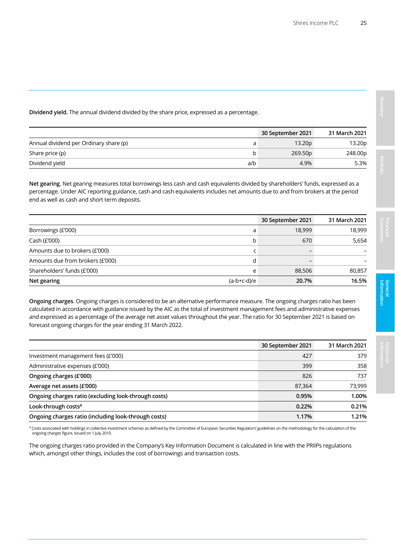**Dividend yield.** The annual dividend divided by the share price, expressed as a percentage.

|                                        |     | 30 September 2021   | 31 March 2021 |
|----------------------------------------|-----|---------------------|---------------|
| Annual dividend per Ordinary share (p) |     | 13.20p              | 13.20p        |
| Share price (p)                        |     | 269.50 <sub>p</sub> | 248.00p       |
| Dividend yield                         | a/b | 4.9%                | 5.3%          |

**Net gearing**. Net gearing measures total borrowings less cash and cash equivalents divided by shareholders' funds, expressed as a percentage. Under AIC reporting guidance, cash and cash equivalents includes net amounts due to and from brokers at the period end as well as cash and short term deposits.

|                                  |               | 30 September 2021 | 31 March 2021 |
|----------------------------------|---------------|-------------------|---------------|
| Borrowings (£'000)               | a             | 18,999            | 18,999        |
| Cash $(E'000)$                   | b             | 670               | 5,654         |
| Amounts due to brokers (£'000)   |               |                   |               |
| Amounts due from brokers (£'000) |               |                   |               |
| Shareholders' funds (£'000)      | e             | 88,506            | 80,857        |
| Net gearing                      | $(a-b+c-d)/e$ | 20.7%             | 16.5%         |

**Ongoing charges**. Ongoing charges is considered to be an alternative performance measure. The ongoing charges ratio has been calculated in accordance with guidance issued by the AIC as the total of investment management fees and administrative expenses and expressed as a percentage of the average net asset values throughout the year. The ratio for 30 September 2021 is based on forecast ongoing charges for the year ending 31 March 2022.

|                                                      | 30 September 2021 | 31 March 2021 |
|------------------------------------------------------|-------------------|---------------|
| Investment management fees (£'000)                   | 427               | 379           |
| Administrative expenses (£'000)                      | 399               | 358           |
| Ongoing charges (£'000)                              | 826               | 737           |
| Average net assets (£'000)                           | 87,364            | 73,999        |
| Ongoing charges ratio (excluding look-through costs) | 0.95%             | 1.00%         |
| Look-through costs <sup>A</sup>                      | 0.22%             | 0.21%         |
| Ongoing charges ratio (including look-through costs) | 1.17%             | 1.21%         |

A Costs associated with holdings in collective investment schemes as defined by the Committee of European Securities Regulators' guidelines on the methodology for the calculation of the ongoing charges figure, issued on 1 July 2010.

The ongoing charges ratio provided in the Company's Key Information Document is calculated in line with the PRIIPs regulations which, amongst other things, includes the cost of borrowings and transaction costs.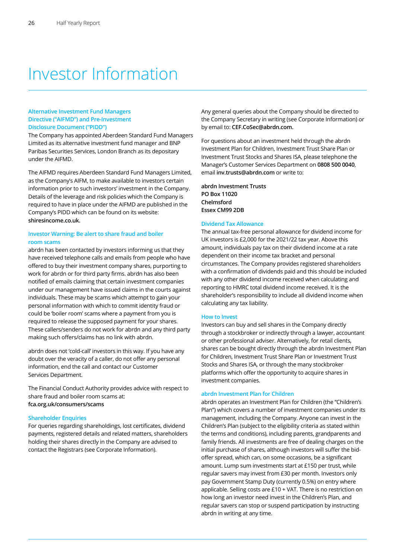### Investor Information

### **Alternative Investment Fund Managers Directive ("AIFMD") and Pre-Investment Disclosure Document ("PIDD")**

The Company has appointed Aberdeen Standard Fund Managers Limited as its alternative investment fund manager and BNP Paribas Securities Services, London Branch as its depositary under the AIFMD.

The AIFMD requires Aberdeen Standard Fund Managers Limited, as the Company's AIFM, to make available to investors certain information prior to such investors' investment in the Company. Details of the leverage and risk policies which the Company is required to have in place under the AIFMD are published in the Company's PIDD which can be found on its website: **shiresincome.co.uk.**

### **Investor Warning: Be alert to share fraud and boiler room scams**

abrdn has been contacted by investors informing us that they have received telephone calls and emails from people who have offered to buy their investment company shares, purporting to work for abrdn or for third party firms. abrdn has also been notified of emails claiming that certain investment companies under our management have issued claims in the courts against individuals. These may be scams which attempt to gain your personal information with which to commit identity fraud or could be 'boiler room' scams where a payment from you is required to release the supposed payment for your shares. These callers/senders do not work for abrdn and any third party making such offers/claims has no link with abrdn.

abrdn does not 'cold-call' investors in this way. If you have any doubt over the veracity of a caller, do not offer any personal information, end the call and contact our Customer Services Department.

The Financial Conduct Authority provides advice with respect to share fraud and boiler room scams at: **fca.org.uk/consumers/scams**

### **Shareholder Enquiries**

For queries regarding shareholdings, lost certificates, dividend payments, registered details and related matters, shareholders holding their shares directly in the Company are advised to contact the Registrars (see Corporate Information).

Any general queries about the Company should be directed to the Company Secretary in writing (see Corporate Information) or by email to: **CEF.CoSec@abrdn.com.**

For questions about an investment held through the abrdn Investment Plan for Children, Investment Trust Share Plan or Investment Trust Stocks and Shares ISA, please telephone the Manager's Customer Services Department on **0808 500 0040**, email **inv.trusts@abrdn.com** or write to:

**abrdn Investment Trusts PO Box 11020 Chelmsford Essex CM99 2DB**

### **Dividend Tax Allowance**

The annual tax-free personal allowance for dividend income for UK investors is £2,000 for the 2021/22 tax year. Above this amount, individuals pay tax on their dividend income at a rate dependent on their income tax bracket and personal circumstances. The Company provides registered shareholders with a confirmation of dividends paid and this should be included with any other dividend income received when calculating and reporting to HMRC total dividend income received. It is the shareholder's responsibility to include all dividend income when calculating any tax liability.

#### **How to Invest**

Investors can buy and sell shares in the Company directly through a stockbroker or indirectly through a lawyer, accountant or other professional adviser. Alternatively, for retail clients, shares can be bought directly through the abrdn Investment Plan for Children, Investment Trust Share Plan or Investment Trust Stocks and Shares ISA, or through the many stockbroker platforms which offer the opportunity to acquire shares in investment companies.

#### **abrdn Investment Plan for Children**

abrdn operates an Investment Plan for Children (the "Children's Plan") which covers a number of investment companies under its management, including the Company. Anyone can invest in the Children's Plan (subject to the eligibility criteria as stated within the terms and conditions), including parents, grandparents and family friends. All investments are free of dealing charges on the initial purchase of shares, although investors will suffer the bidoffer spread, which can, on some occasions, be a significant amount. Lump sum investments start at £150 per trust, while regular savers may invest from £30 per month. Investors only pay Government Stamp Duty (currently 0.5%) on entry where applicable. Selling costs are £10 + VAT. There is no restriction on how long an investor need invest in the Children's Plan, and regular savers can stop or suspend participation by instructing abrdn in writing at any time.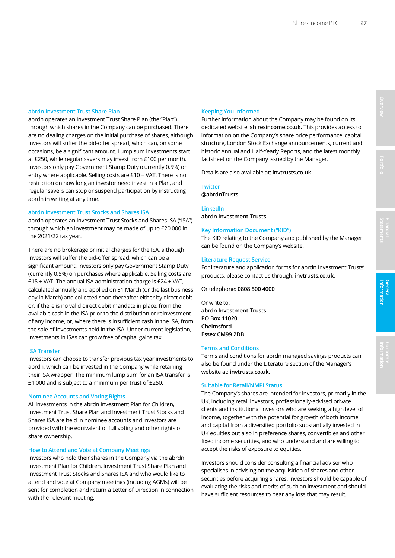### **abrdn Investment Trust Share Plan**

abrdn operates an Investment Trust Share Plan (the "Plan") through which shares in the Company can be purchased. There are no dealing charges on the initial purchase of shares, although investors will suffer the bid-offer spread, which can, on some occasions, be a significant amount. Lump sum investments start at £250, while regular savers may invest from £100 per month. Investors only pay Government Stamp Duty (currently 0.5%) on entry where applicable. Selling costs are £10 + VAT. There is no restriction on how long an investor need invest in a Plan, and regular savers can stop or suspend participation by instructing abrdn in writing at any time.

#### **abrdn Investment Trust Stocks and Shares ISA**

abrdn operates an Investment Trust Stocks and Shares ISA ("ISA") through which an investment may be made of up to £20,000 in the 2021/22 tax year.

There are no brokerage or initial charges for the ISA, although investors will suffer the bid-offer spread, which can be a significant amount. Investors only pay Government Stamp Duty (currently 0.5%) on purchases where applicable. Selling costs are £15 + VAT. The annual ISA administration charge is £24 + VAT, calculated annually and applied on 31 March (or the last business day in March) and collected soon thereafter either by direct debit or, if there is no valid direct debit mandate in place, from the available cash in the ISA prior to the distribution or reinvestment of any income, or, where there is insufficient cash in the ISA, from the sale of investments held in the ISA. Under current legislation, investments in ISAs can grow free of capital gains tax.

### **ISA Transfer**

Investors can choose to transfer previous tax year investments to abrdn, which can be invested in the Company while retaining their ISA wrapper. The minimum lump sum for an ISA transfer is £1,000 and is subject to a minimum per trust of £250.

### **Nominee Accounts and Voting Rights**

All investments in the abrdn Investment Plan for Children, Investment Trust Share Plan and Investment Trust Stocks and Shares ISA are held in nominee accounts and investors are provided with the equivalent of full voting and other rights of share ownership.

### **How to Attend and Vote at Company Meetings**

Investors who hold their shares in the Company via the abrdn Investment Plan for Children, Investment Trust Share Plan and Investment Trust Stocks and Shares ISA and who would like to attend and vote at Company meetings (including AGMs) will be sent for completion and return a Letter of Direction in connection with the relevant meeting.

### **Keeping You Informed**

Further information about the Company may be found on its dedicated website: **shiresincome.co.uk.** This provides access to information on the Company's share price performance, capital structure, London Stock Exchange announcements, current and historic Annual and Half-Yearly Reports, and the latest monthly factsheet on the Company issued by the Manager.

Details are also available at: **invtrusts.co.uk.**

### **Twitter**

**@abrdnTrusts** 

### **LinkedIn abrdn Investment Trusts**

### **Key Information Document ("KID")**

The KID relating to the Company and published by the Manager can be found on the Company's website.

### **Literature Request Service**

For literature and application forms for abrdn Investment Trusts' products, please contact us through: **invtrusts.co.uk**.

Or telephone: **0808 500 4000**

Or write to: **abrdn Investment Trusts PO Box 11020 Chelmsford Essex CM99 2DB** 

### **Terms and Conditions**

Terms and conditions for abrdn managed savings products can also be found under the Literature section of the Manager's website at: **invtrusts.co.uk.**

### **Suitable for Retail/NMPI Status**

The Company's shares are intended for investors, primarily in the UK, including retail investors, professionally-advised private clients and institutional investors who are seeking a high level of income, together with the potential for growth of both income and capital from a diversified portfolio substantially invested in UK equities but also in preference shares, convertibles and other fixed income securities, and who understand and are willing to accept the risks of exposure to equities.

Investors should consider consulting a financial adviser who specialises in advising on the acquisition of shares and other securities before acquiring shares. Investors should be capable of evaluating the risks and merits of such an investment and should have sufficient resources to bear any loss that may result.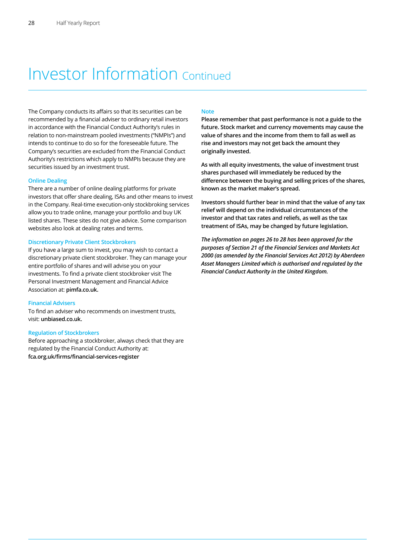### Investor Information Continued

The Company conducts its affairs so that its securities can be recommended by a financial adviser to ordinary retail investors in accordance with the Financial Conduct Authority's rules in relation to non-mainstream pooled investments ("NMPIs") and intends to continue to do so for the foreseeable future. The Company's securities are excluded from the Financial Conduct Authority's restrictions which apply to NMPIs because they are securities issued by an investment trust.

### **Online Dealing**

There are a number of online dealing platforms for private investors that offer share dealing, ISAs and other means to invest in the Company. Real-time execution-only stockbroking services allow you to trade online, manage your portfolio and buy UK listed shares. These sites do not give advice. Some comparison websites also look at dealing rates and terms.

### **Discretionary Private Client Stockbrokers**

If you have a large sum to invest, you may wish to contact a discretionary private client stockbroker. They can manage your entire portfolio of shares and will advise you on your investments. To find a private client stockbroker visit The Personal Investment Management and Financial Advice Association at: **pimfa.co.uk.**

### **Financial Advisers**

To find an adviser who recommends on investment trusts, visit: **unbiased.co.uk.**

#### **Regulation of Stockbrokers**

Before approaching a stockbroker, always check that they are regulated by the Financial Conduct Authority at: **fca.org.uk/firms/financial-services-register**

### **Note**

**Please remember that past performance is not a guide to the future. Stock market and currency movements may cause the value of shares and the income from them to fall as well as rise and investors may not get back the amount they originally invested.** 

**As with all equity investments, the value of investment trust shares purchased will immediately be reduced by the difference between the buying and selling prices of the shares, known as the market maker's spread.** 

**Investors should further bear in mind that the value of any tax relief will depend on the individual circumstances of the investor and that tax rates and reliefs, as well as the tax treatment of ISAs, may be changed by future legislation.** 

*The information on pages 26 to 28 has been approved for the purposes of Section 21 of the Financial Services and Markets Act 2000 (as amended by the Financial Services Act 2012) by Aberdeen Asset Managers Limited which is authorised and regulated by the Financial Conduct Authority in the United Kingdom.*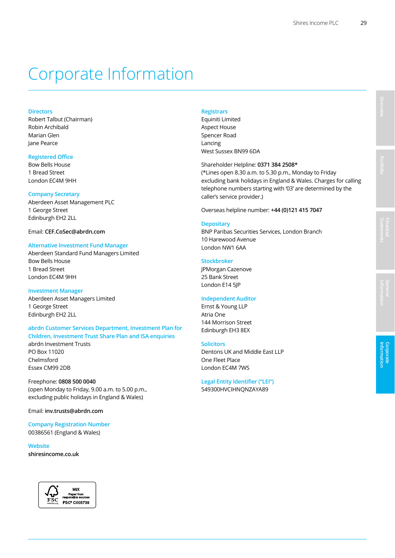### Corporate Information

### **Directors**

Robert Talbut (Chairman) Robin Archibald Marian Glen Jane Pearce

### **Registered Office**

Bow Bells House 1 Bread Street London EC4M 9HH

#### **Company Secretary**

Aberdeen Asset Management PLC 1 George Street Edinburgh EH2 2LL

### Email: **CEF.CoSec@abrdn.com**

### **Alternative Investment Fund Manager**

Aberdeen Standard Fund Managers Limited Bow Bells House 1 Bread Street London EC4M 9HH

### **Investment Manager**

Aberdeen Asset Managers Limited 1 George Street Edinburgh EH2 2LL

### **abrdn Customer Services Department, Investment Plan for Children, Investment Trust Share Plan and ISA enquiries**  abrdn Investment Trusts

PO Box 11020 Chelmsford Essex CM99 2DB

Freephone: **0808 500 0040** (open Monday to Friday, 9.00 a.m. to 5.00 p.m., excluding public holidays in England & Wales)

Email: **inv.trusts@abrdn.com**

**Company Registration Number**  00386561 (England & Wales)

**Website shiresincome.co.uk** 



### **Registrars**

Equiniti Limited Aspect House Spencer Road Lancing West Sussex BN99 6DA

Shareholder Helpline: **0371 384 2508\***

(\*Lines open 8.30 a.m. to 5.30 p.m., Monday to Friday excluding bank holidays in England & Wales. Charges for calling telephone numbers starting with '03' are determined by the caller's service provider.)

Overseas helpline number: **+44 (0)121 415 7047**

### **Depositary**

BNP Paribas Securities Services, London Branch 10 Harewood Avenue London NW1 6AA

### **Stockbroker**

JPMorgan Cazenove 25 Bank Street London E14 5JP

### **Independent Auditor**

Ernst & Young LLP Atria One 144 Morrison Street Edinburgh EH3 8EX

#### **Solicitors**

Dentons UK and Middle East LLP One Fleet Place London EC4M 7WS

### **Legal Entity Identifier ("LEI")**

549300HVCIHNQNZAYA89